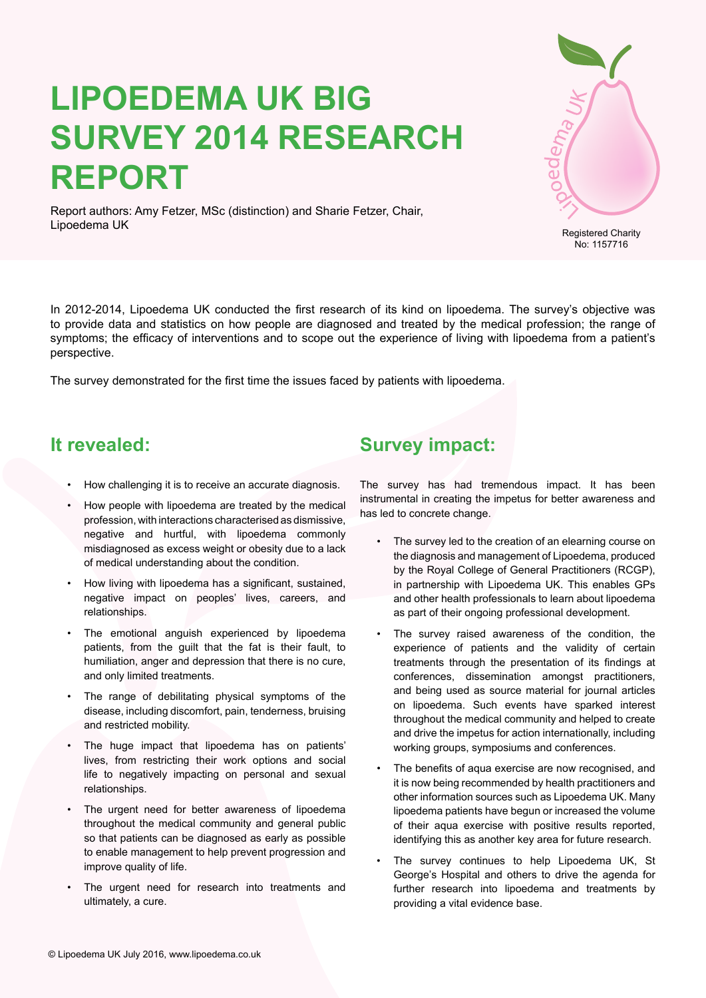# **Lipoedema UK Big Survey 2014 Research Report**



Report authors: Amy Fetzer, MSc (distinction) and Sharie Fetzer, Chair, Lipoedema UK

In 2012-2014, Lipoedema UK conducted the first research of its kind on lipoedema. The survey's objective was to provide data and statistics on how people are diagnosed and treated by the medical profession; the range of symptoms; the efficacy of interventions and to scope out the experience of living with lipoedema from a patient's perspective.

The survey demonstrated for the first time the issues faced by patients with lipoedema.

# **It revealed:**

- How challenging it is to receive an accurate diagnosis.
- How people with lipoedema are treated by the medical profession, with interactions characterised as dismissive, negative and hurtful, with lipoedema commonly misdiagnosed as excess weight or obesity due to a lack of medical understanding about the condition.
- How living with lipoedema has a significant, sustained, negative impact on peoples' lives, careers, and relationships.
- The emotional anguish experienced by lipoedema patients, from the guilt that the fat is their fault, to humiliation, anger and depression that there is no cure, and only limited treatments.
- The range of debilitating physical symptoms of the disease, including discomfort, pain, tenderness, bruising and restricted mobility.
- The huge impact that lipoedema has on patients' lives, from restricting their work options and social life to negatively impacting on personal and sexual relationships.
- The urgent need for better awareness of lipoedema throughout the medical community and general public so that patients can be diagnosed as early as possible to enable management to help prevent progression and improve quality of life.
- The urgent need for research into treatments and ultimately, a cure.

# **Survey impact:**

The survey has had tremendous impact. It has been instrumental in creating the impetus for better awareness and has led to concrete change.

- The survey led to the creation of an elearning course on the diagnosis and management of Lipoedema, produced by the Royal College of General Practitioners (RCGP), in partnership with Lipoedema UK. This enables GPs and other health professionals to learn about lipoedema as part of their ongoing professional development.
- The survey raised awareness of the condition, the experience of patients and the validity of certain treatments through the presentation of its findings at conferences, dissemination amongst practitioners, and being used as source material for journal articles on lipoedema. Such events have sparked interest throughout the medical community and helped to create and drive the impetus for action internationally, including working groups, symposiums and conferences.
- The benefits of aqua exercise are now recognised, and it is now being recommended by health practitioners and other information sources such as Lipoedema UK. Many lipoedema patients have begun or increased the volume of their aqua exercise with positive results reported, identifying this as another key area for future research.
- The survey continues to help Lipoedema UK, St George's Hospital and others to drive the agenda for further research into lipoedema and treatments by providing a vital evidence base.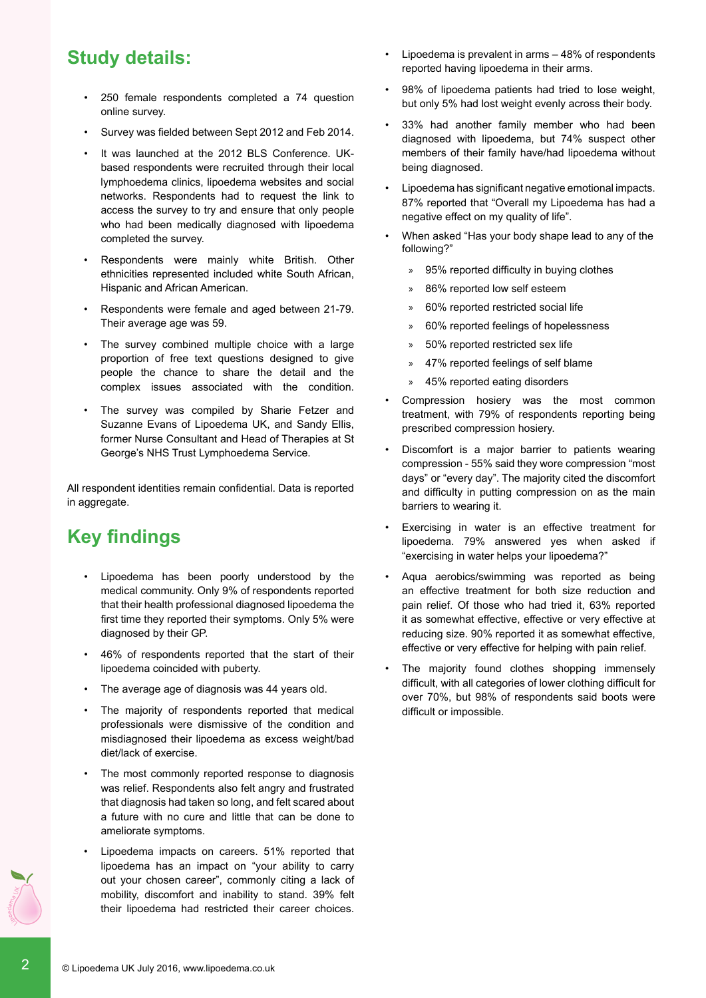# **Study details:**

- 250 female respondents completed a 74 question online survey.
- Survey was fielded between Sept 2012 and Feb 2014.
- It was launched at the 2012 BLS Conference. UKbased respondents were recruited through their local lymphoedema clinics, lipoedema websites and social networks. Respondents had to request the link to access the survey to try and ensure that only people who had been medically diagnosed with lipoedema completed the survey.
- Respondents were mainly white British. Other ethnicities represented included white South African, Hispanic and African American.
- Respondents were female and aged between 21-79. Their average age was 59.
- The survey combined multiple choice with a large proportion of free text questions designed to give people the chance to share the detail and the complex issues associated with the condition.
- The survey was compiled by Sharie Fetzer and Suzanne Evans of Lipoedema UK, and Sandy Ellis, former Nurse Consultant and Head of Therapies at St George's NHS Trust Lymphoedema Service.

All respondent identities remain confidential. Data is reported in aggregate.

# **Key findings**

- Lipoedema has been poorly understood by the medical community. Only 9% of respondents reported that their health professional diagnosed lipoedema the first time they reported their symptoms. Only 5% were diagnosed by their GP.
- 46% of respondents reported that the start of their lipoedema coincided with puberty.
- The average age of diagnosis was 44 years old.
- The majority of respondents reported that medical professionals were dismissive of the condition and misdiagnosed their lipoedema as excess weight/bad diet/lack of exercise.
- The most commonly reported response to diagnosis was relief. Respondents also felt angry and frustrated that diagnosis had taken so long, and felt scared about a future with no cure and little that can be done to ameliorate symptoms.
- Lipoedema impacts on careers. 51% reported that lipoedema has an impact on "your ability to carry out your chosen career", commonly citing a lack of mobility, discomfort and inability to stand. 39% felt their lipoedema had restricted their career choices.
- • Lipoedema is prevalent in arms 48% of respondents reported having lipoedema in their arms.
- 98% of lipoedema patients had tried to lose weight, but only 5% had lost weight evenly across their body.
- 33% had another family member who had been diagnosed with lipoedema, but 74% suspect other members of their family have/had lipoedema without being diagnosed.
- Lipoedema has significant negative emotional impacts. 87% reported that "Overall my Lipoedema has had a negative effect on my quality of life".
- When asked "Has your body shape lead to any of the following?"
	- » 95% reported difficulty in buying clothes
	- » 86% reported low self esteem
	- » 60% reported restricted social life
	- » 60% reported feelings of hopelessness
	- » 50% reported restricted sex life
	- » 47% reported feelings of self blame
	- » 45% reported eating disorders
- Compression hosiery was the most common treatment, with 79% of respondents reporting being prescribed compression hosiery.
- Discomfort is a major barrier to patients wearing compression - 55% said they wore compression "most days" or "every day". The majority cited the discomfort and difficulty in putting compression on as the main barriers to wearing it.
- Exercising in water is an effective treatment for lipoedema. 79% answered yes when asked if "exercising in water helps your lipoedema?"
- Aqua aerobics/swimming was reported as being an effective treatment for both size reduction and pain relief. Of those who had tried it, 63% reported it as somewhat effective, effective or very effective at reducing size. 90% reported it as somewhat effective, effective or very effective for helping with pain relief.
- The majority found clothes shopping immensely difficult, with all categories of lower clothing difficult for over 70%, but 98% of respondents said boots were difficult or impossible.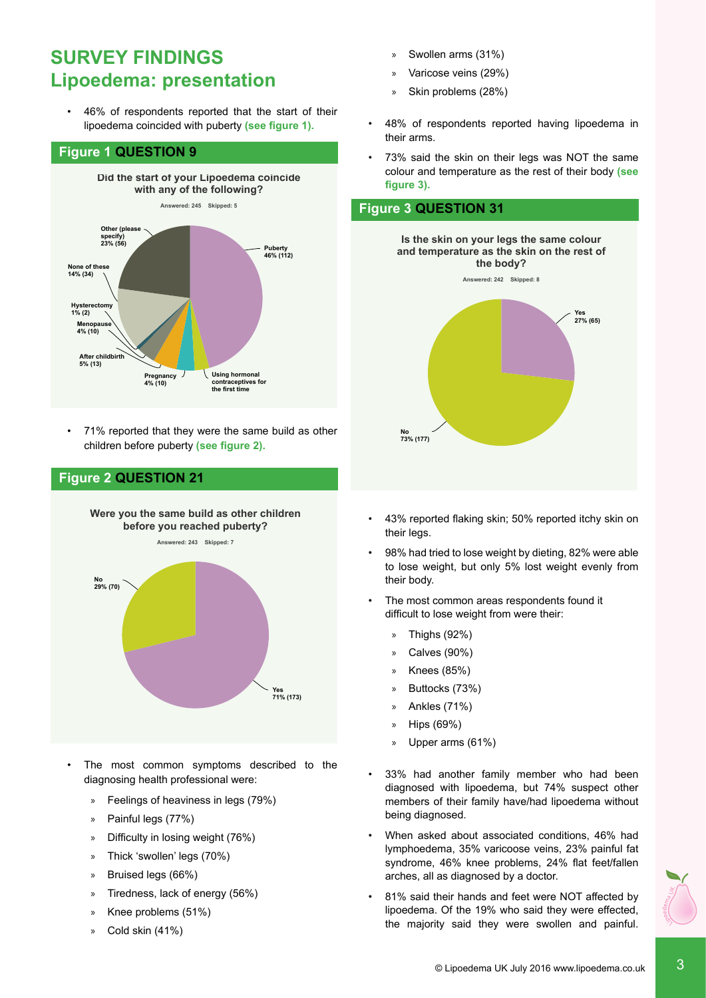# **Survey findings** Lipoedema: presentation

**8** 46% of respondents reported that the start of their lipoedema coincided with puberty **(see figure 1).** 

#### **Figure 1 QUESTION 9**



• 71% reported that they were the same build as other **on my quality of life 87% (211)** children before puberty **(see figure 2).**



The most common symptoms described to the diagnosing health professional were:

**Using hormonal**

- » Feelings of heaviness in legs (79%)
- » Painful legs (77%)
- » Difficulty in losing weight (76%)

**Pregnancy**

- » Thick 'swollen' legs (70%)
- » Bruised legs (66%)
- » Tiredness, lack of energy (56%)
- » Knee problems (51%)
- Cold skin (41%)
- » Swollen arms (31%)
- » Varicose veins (29%)
- » Skin problems (28%)
- 48% of respondents reported having lipoedema in their arms.
- 73% said the skin on their legs was NOT the same colour and temperature as the rest of their body (see **figure 3). first time you told them of your symptoms?**

### **Figure 3 QUESTION 31**



- • 43% reported flaking skin; 50% reported itchy skin on their legs. eported flaking skin; 50% reported itchy skin o
- 98% had tried to lose weight by dieting, 82% were able to lose weight, but only 5% lost weight evenly from their body.
- The most common areas respondents found it difficult to lose weight from were their:
	- » Thighs (92%)
	- » Calves (90%)
	- » Knees (85%)
	- » Buttocks (73%)
	- » Ankles (71%) **No**
	- » Hips (69%)
	- » Upper arms (61%)
- 33% had another family member who had been diagnosed with lipoedema, but 74% suspect other members of their family have/had lipoedema without being diagnosed.
- When asked about associated conditions, 46% had lymphoedema, 35% varicoose veins, 23% painful fat syndrome, 46% knee problems, 24% flat feet/fallen arches, all as diagnosed by a doctor.
- 81% said their hands and feet were NOT affected by lipoedema. Of the 19% who said they were effected, the majority said they were swollen and painful.

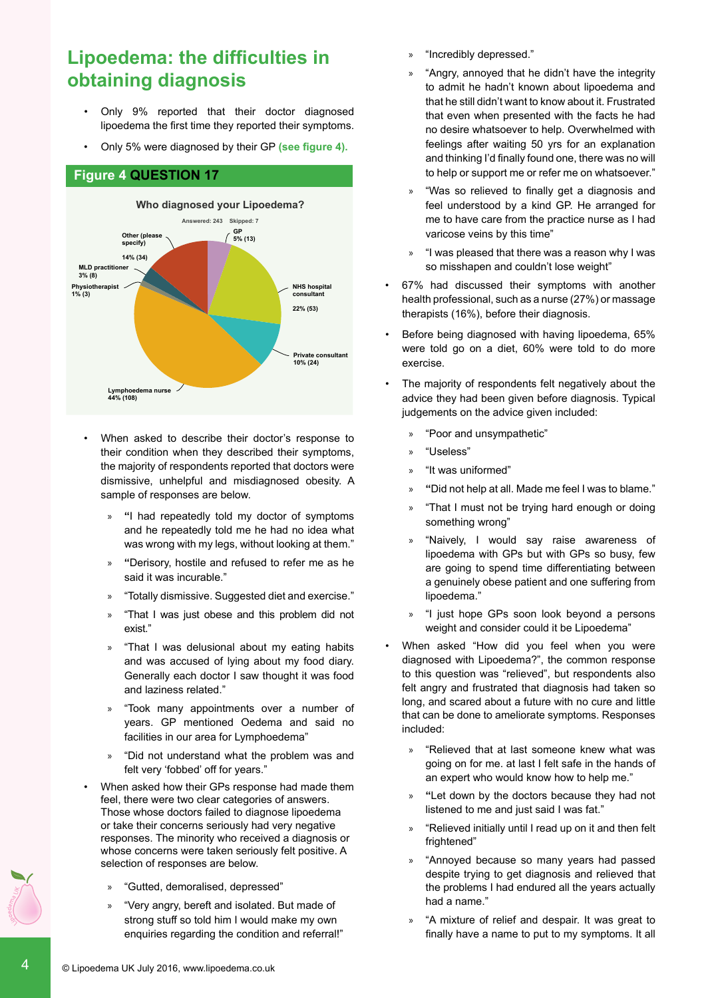# **Lipoedema: the difficulties in obtaining diagnosis**

- Only 9% reported that their doctor diagnosed lipoedema the first time they reported their symptoms.
- Only 5% were diagnosed by their GP (see figure 4).

#### **Figure 4 QUESTION 17**



- When asked to describe their doctor's response to their condition when they described their symptoms, the majority of respondents reported that doctors were dismissive, unhelpful and misdiagnosed obesity. A sample of responses are below.
	- » **"**I had repeatedly told my doctor of symptoms and he repeatedly told me he had no idea what was wrong with my legs, without looking at them."
	- » **"**Derisory, hostile and refused to refer me as he said it was incurable."
	- » "Totally dismissive. Suggested diet and exercise."
	- » "That I was just obese and this problem did not exist."
	- » "That I was delusional about my eating habits and was accused of lying about my food diary. Generally each doctor I saw thought it was food and laziness related."
	- » "Took many appointments over a number of years. GP mentioned Oedema and said no facilities in our area for Lymphoedema"
	- » "Did not understand what the problem was and felt very 'fobbed' off for years."
- When asked how their GPs response had made them feel, there were two clear categories of answers. Those whose doctors failed to diagnose lipoedema or take their concerns seriously had very negative responses. The minority who received a diagnosis or whose concerns were taken seriously felt positive. A selection of responses are below.
	- » "Gutted, demoralised, depressed"
	- » "Very angry, bereft and isolated. But made of strong stuff so told him I would make my own enquiries regarding the condition and referral!"
- » "Incredibly depressed."
- » "Angry, annoyed that he didn't have the integrity to admit he hadn't known about lipoedema and that he still didn't want to know about it. Frustrated that even when presented with the facts he had no desire whatsoever to help. Overwhelmed with feelings after waiting 50 yrs for an explanation and thinking I'd finally found one, there was no will to help or support me or refer me on whatsoever."
- » "Was so relieved to finally get a diagnosis and feel understood by a kind GP. He arranged for me to have care from the practice nurse as I had **Answered: 240 Skipped: 10** varicose veins by this time"
- » "I was pleased that there was a reason why I was so misshapen and couldn't lose weight"
- **•** 67% had discussed their symptoms with another health professional, such as a nurse (27%) or massage therapists (16%), before their diagnosis. **33% (79)**
- Before being diagnosed with having lipoedema, 65% were told go on a diet, 60% were told to do more exercise.
- The majority of respondents felt negatively about the advice they had been given before diagnosis. Typical judgements on the advice given included:
	- » "Poor and unsympathetic"
	- » "Useless"
	- » "It was uniformed"
	- » **"**Did not help at all. Made me feel I was to blame."
	- » "That I must not be trying hard enough or doing something wrong"
	- » "Naively, I would say raise awareness of lipoedema with GPs but with GPs so busy, few are going to spend time differentiating between a genuinely obese patient and one suffering from lipoedema."
	- » "I just hope GPs soon look beyond a persons weight and consider could it be Lipoedema"
- When asked "How did you feel when you were diagnosed with Lipoedema?", the common response to this question was "relieved", but respondents also felt angry and frustrated that diagnosis had taken so long, and scared about a future with no cure and little that can be done to ameliorate symptoms. Responses included:
	- » "Relieved that at last someone knew what was going on for me. at last I felt safe in the hands of an expert who would know how to help me."
	- » **"**Let down by the doctors because they had not listened to me and just said I was fat."
	- » "Relieved initially until I read up on it and then felt frightened"
	- » "Annoyed because so many years had passed despite trying to get diagnosis and relieved that the problems I had endured all the years actually had a name."
	- » "A mixture of relief and despair. It was great to finally have a name to put to my symptoms. It all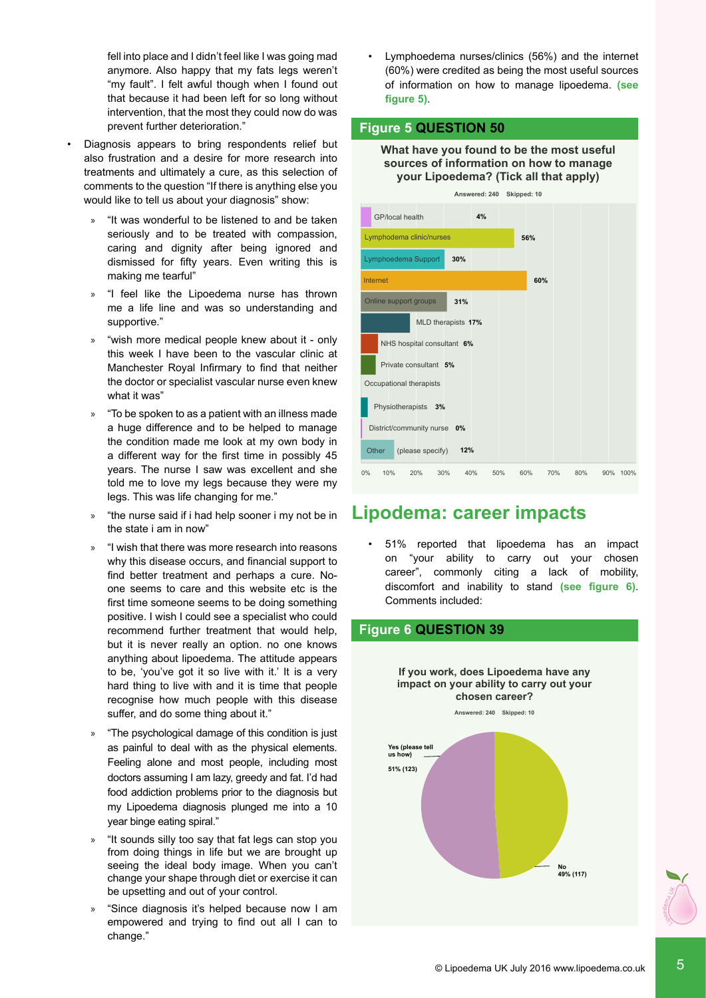fell into place and I didn't feel like I was going mad anymore. Also happy that my fats legs weren't "my fault". I felt awful though when I found out that because it had been left for so long without intervention, that the most they could now do was prevent further deterioration."

- Diagnosis appears to bring respondents relief but also frustration and a desire for more research into treatments and ultimately a cure, as this selection of comments to the question "If there is anything else you would like to tell us about your diagnosis" show:
	- » "It was wonderful to be listened to and be taken seriously and to be treated with compassion, caring and dignity after being ignored and dismissed for fifty years. Even writing this is making me tearful"
	- » "I feel like the Lipoedema nurse has thrown me a life line and was so understanding and supportive."
	- » "wish more medical people knew about it only this week I have been to the vascular clinic at Manchester Royal Infirmary to find that neither the doctor or specialist vascular nurse even knew what it was"
	- » "To be spoken to as a patient with an illness made a huge difference and to be helped to manage the condition made me look at my own body in a different way for the first time in possibly 45 years. The nurse I saw was excellent and she told me to love my legs because they were my legs. This was life changing for me."
	- » "the nurse said if i had help sooner i my not be in the state i am in now"
	- » "I wish that there was more research into reasons why this disease occurs, and financial support to find better treatment and perhaps a cure. Noone seems to care and this website etc is the first time someone seems to be doing something positive. I wish I could see a specialist who could recommend further treatment that would help, but it is never really an option. no one knows anything about lipoedema. The attitude appears to be, 'you've got it so live with it.' It is a very hard thing to live with and it is time that people recognise how much people with this disease suffer, and do some thing about it."
	- » "The psychological damage of this condition is just **No** as painful to deal with as the physical elements. **21% (12)** Feeling alone and most people, including most doctors assuming I am lazy, greedy and fat. I'd had food addiction problems prior to the diagnosis but my Lipoedema diagnosis plunged me into a 10 year binge eating spiral."
	- » "It sounds silly too say that fat legs can stop you from doing things in life but we are brought up seeing the ideal body image. When you can't change your shape through diet or exercise it can be upsetting and out of your control. **79% (44)**
	- » "Since diagnosis it's helped because now I am empowered and trying to find out all I can to change."

• Lymphoedema nurses/clinics (56%) and the internet (60%) were credited as being the most useful sources of information on how to manage lipoedema. **(see figure 5)**.

#### **Figure 5 QUESTION 50**

**What have you found to be the most useful sources of information on how to manage your Lipoedema? (Tick all that apply)**



# **Lipodema: career impacts**

51% reported that lipoedema has an impact on "your ability to carry out your chosen career", commonly citing a lack of mobility, discomfort and inability to stand **(see figure 6)**. Comments included: 

#### **Figure 6 QUESTION 39**

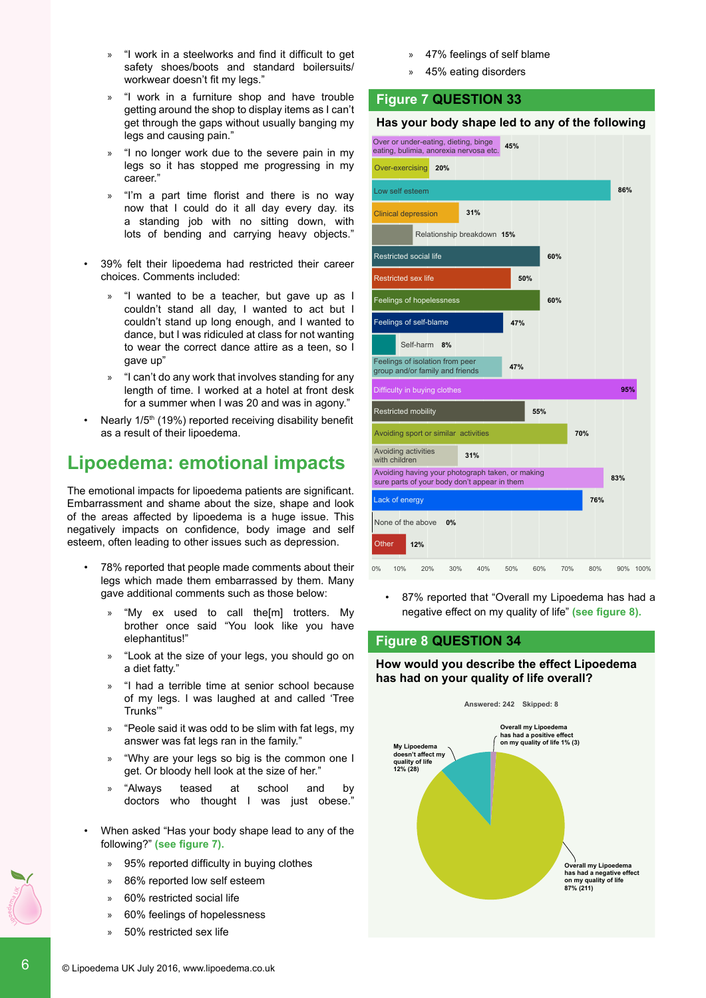- » "I work in a steelworks and find it difficult to get safety shoes/boots and standard boilersuits/ workwear doesn't fit my legs."
- » "I work in a furniture shop and have trouble getting around the shop to display items as I can't get through the gaps without usually banging my legs and causing pain."
- » "I no longer work due to the severe pain in my legs so it has stopped me progressing in my career."
- » "I'm a part time florist and there is no way now that I could do it all day every day. its a standing job with no sitting down, with lots of bending and carrying heavy objects."
- 39% felt their lipoedema had restricted their career choices. Comments included:
	- » "I wanted to be a teacher, but gave up as I couldn't stand all day, I wanted to act but I couldn't stand up long enough, and I wanted to dance, but I was ridiculed at class for not wanting to wear the correct dance attire as a teen, so I gave up"
	- » "I can't do any work that involves standing for any length of time. I worked at a hotel at front desk for a summer when I was 20 and was in agony."
- Nearly 1/5<sup>th</sup> (19%) reported receiving disability benefit as a result of their lipoedema.

# **Lipoedema: emotional impacts**

The emotional impacts for lipoedema patients are significant. Embarrassment and shame about the size, shape and look of the areas affected by lipoedema is a huge issue. This negatively impacts on confidence, body image and self esteem, often leading to other issues such as depression.

- 78% reported that people made comments about their legs which made them embarrassed by them. Many gave additional comments such as those below:
	- » "My ex used to call the[m] trotters. My brother once said "You look like you have elephantitus!"
	- » "Look at the size of your legs, you should go on a diet fatty."
	- » "I had a terrible time at senior school because of my legs. I was laughed at and called 'Tree Trunks'"
	- » "Peole said it was odd to be slim with fat legs, my answer was fat legs ran in the family."
	- » "Why are your legs so big is the common one I get. Or bloody hell look at the size of her."
	- » "Always teased at school and by doctors who thought I was just obese."
- When asked "Has your body shape lead to any of the following?" **(see figure 7).** 
	- 95% reported difficulty in buying clothes
	- 86% reported low self esteem
	- » 60% restricted social life
	- » 60% feelings of hopelessness
	- » 50% restricted sex life
- » 47% feelings of self blame
- » 45% eating disorders

#### **Figure 7 QUESTION 33**

#### **Has your body shape led to any of the following**



87% reported that "Overall my Lipoedema has had a negative effect on my quality of life" **(see figure 8).**

#### **Figure 8 QUESTION 34**

**How would you describe the effect Lipoedema has had on your quality of life overall?**

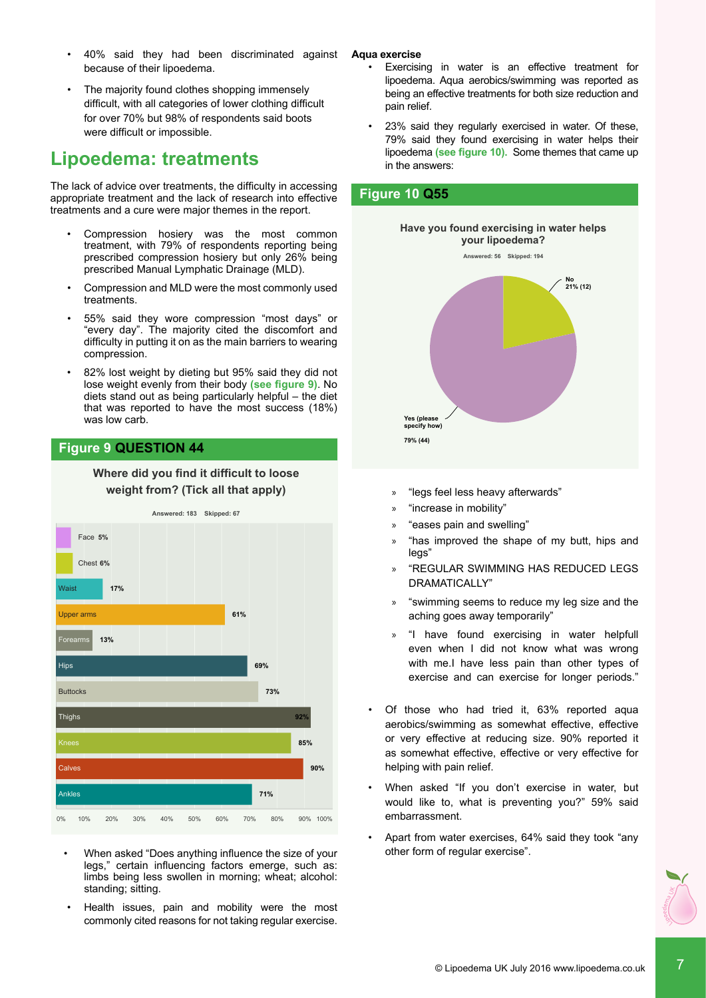- 40% said they had been discriminated against because of their lipoedema.
- The majority found clothes shopping immensely difficult, with all categories of lower clothing difficult for over 70% but 98% of respondents said boots were difficult or impossible.

# **Lipoedema: treatments**

The lack of advice over treatments, the difficulty in accessing appropriate treatment and the lack of research into effective treatments and a cure were major themes in the report.

- **•** Compression hosiery was the most common treatment, with 79% of respondents reporting being prescribed compression hosiery but only 26% being prescribed Manual Lymphatic Drainage (MLD).
- Compression and MLD were the most commonly used treatments.
- $\cdot$  55% said they wore compression "most days" or "every day". The majority cited the discomfort and **relationship to...** difficulty in putting it on as the main barriers to wearing **33% (79)** compression.
- 82% lost weight by dieting but 95% said they did not lose weight evenly from their body **(see figure 9)**. No diets stand out as being particularly helpful – the diet **No** that was reported to have the most success (18%) **67% (161)** was low carb.

### **Figure 9 QUESTION 44**

#### **Where did you find it difficult to loose weight from? (Tick all that apply)**



- When asked "Does anything influence the size of your legs," certain influencing factors emerge, such as: limbs being less swollen in morning; wheat; alcohol: standing; sitting.
- Health issues, pain and mobility were the most commonly cited reasons for not taking regular exercise.

**Aqua exercise**

- Exercising in water is an effective treatment for lipoedema. Aqua aerobics/swimming was reported as being an effective treatments for both size reduction and pain relief.
- 23% said they regularly exercised in water. Of these, 79% said they found exercising in water helps their lipoedema **(see figure 10).** Some themes that came up in the answers:

#### **Figure 10 Q55**



- » "legs feel less heavy afterwards"
- » "increase in mobility"
- » "eases pain and swelling"
- » "has improved the shape of my butt, hips and legs"
- » "REGULAR SWIMMING HAS REDUCED LEGS DRAMATICALLY"
- » "swimming seems to reduce my leg size and the aching goes away temporarily"
- » "I have found exercising in water helpfull even when I did not know what was wrong with me.I have less pain than other types of exercise and can exercise for longer periods."
- • Of those who had tried it, 63% reported aqua aerobics/swimming as somewhat effective, effective or very effective at reducing size. 90% reported it as somewhat effective, effective or very effective for helping with pain relief.
- When asked "If you don't exercise in water, but would like to, what is preventing you?" 59% said embarrassment.
- Apart from water exercises, 64% said they took "any other form of regular exercise".